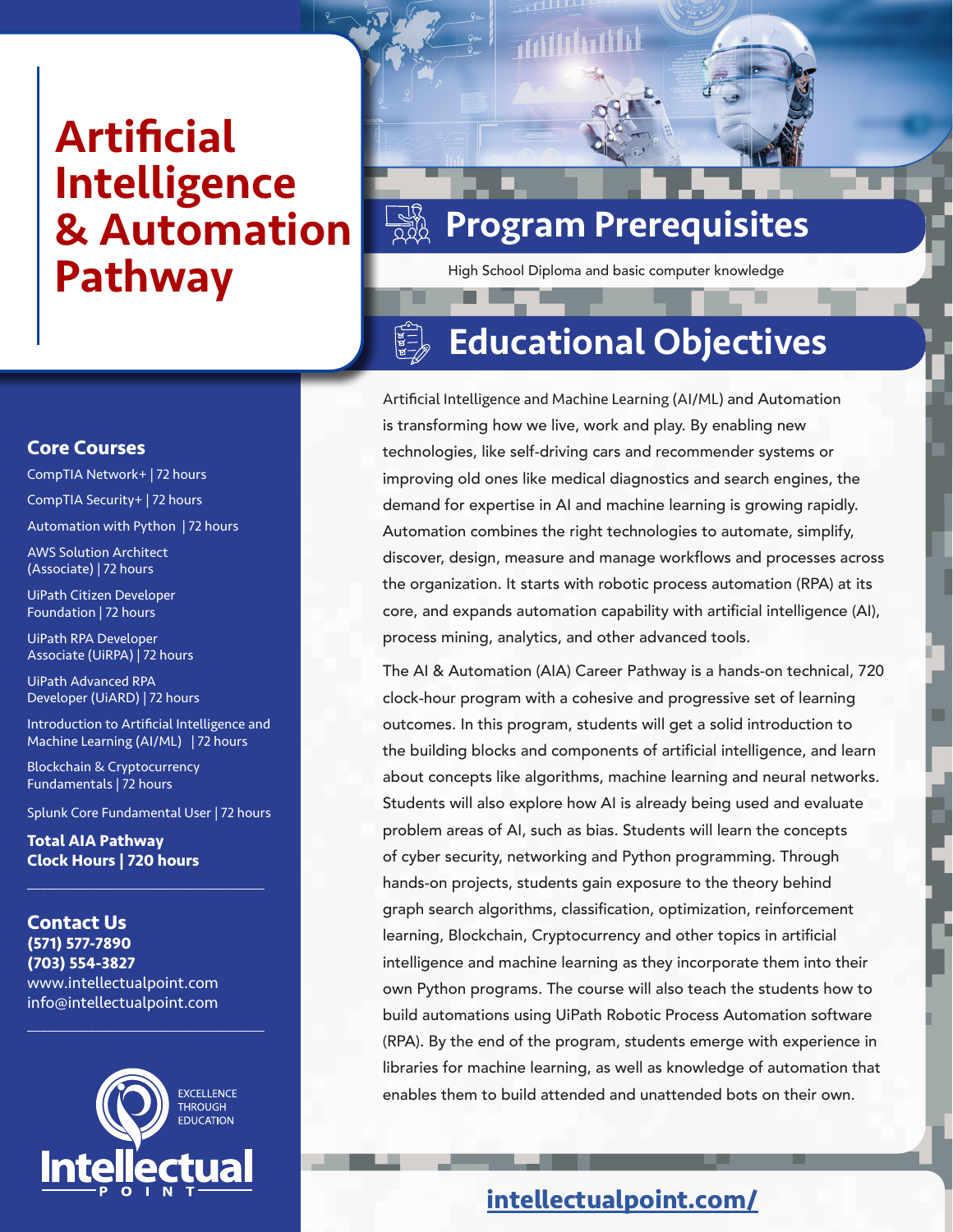# **Artificial** Intelligence & Automation Pathway

# Program Prerequisites

High School Diploma and basic computer knowledge

#### $\begin{matrix} \overline{A} & \overline{B} \\ \overline{B} & \overline{B} \\ \overline{C} & \overline{B} \\ \overline{C} & \overline{D} \end{matrix}$ Educational Objectives

Artificial Intelligence and Machine Learning (AI/ML) and Automation is transforming how we live, work and play. By enabling new technologies, like self-driving cars and recommender systems or improving old ones like medical diagnostics and search engines, the demand for expertise in AI and machine learning is growing rapidly. Automation combines the right technologies to automate, simplify, discover, design, measure and manage workflows and processes across the organization. It starts with robotic process automation (RPA) at its core, and expands automation capability with artificial intelligence (AI), process mining, analytics, and other advanced tools.

The AI & Automation (AIA) Career Pathway is a hands-on technical, 720 clock-hour program with a cohesive and progressive set of learning outcomes. In this program, students will get a solid introduction to the building blocks and components of artificial intelligence, and learn about concepts like algorithms, machine learning and neural networks. Students will also explore how AI is already being used and evaluate problem areas of AI, such as bias. Students will learn the concepts of cyber security, networking and Python programming. Through hands-on projects, students gain exposure to the theory behind graph search algorithms, classification, optimization, reinforcement learning, Blockchain, Cryptocurrency and other topics in artificial intelligence and machine learning as they incorporate them into their own Python programs. The course will also teach the students how to build automations using UiPath Robotic Process Automation software (RPA). By the end of the program, students emerge with experience in libraries for machine learning, as well as knowledge of automation that enables them to build attended and unattended bots on their own.

### **[intellectualpoint.com/](https://intellectualpoint.com/)**

#### **Core Courses**

CompTIA Network+ | 72 hours CompTIA Security+ | 72 hours Automation with Python | 72 hours

AWS Solution Architect (Associate) | 72 hours

UiPath Citizen Developer Foundation | 72 hours

UiPath RPA Developer Associate (UiRPA) | 72 hours

UiPath Advanced RPA Developer (UiARD) | 72 hours

Introduction to Artificial Intelligence and Machine Learning (AI/ML) | 72 hours

Blockchain & Cryptocurrency Fundamentals | 72 hours

Splunk Core Fundamental User | 72 hours

 $\overline{\mathcal{L}}$  , and the set of the set of the set of the set of the set of the set of the set of the set of the set of the set of the set of the set of the set of the set of the set of the set of the set of the set of the s

**Total AIA Pathway Clock Hours | 720 hours**

#### **Contact Us (571) 577-7890 (703) 554-3827** www.intellectualpoint.com info@intellectualpoint.com



 $\mathcal{L}_\mathcal{L}$  , where  $\mathcal{L}_\mathcal{L}$  is the set of the set of the set of the set of the set of the set of the set of the set of the set of the set of the set of the set of the set of the set of the set of the set of the